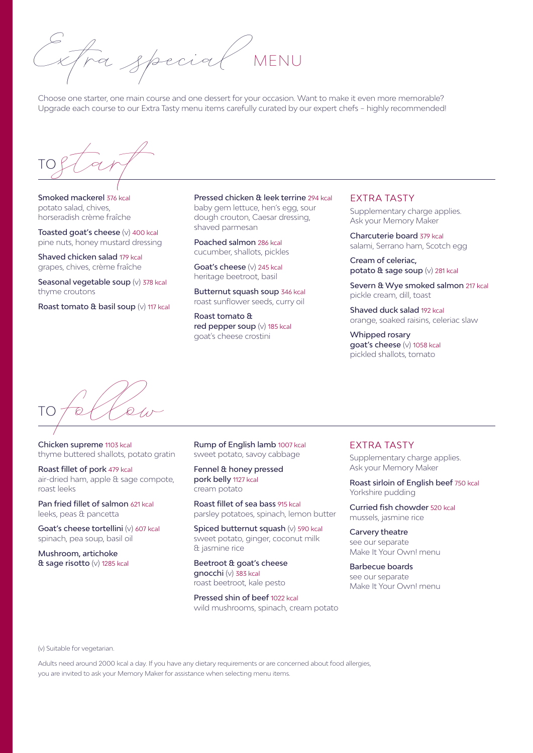tra special

Choose one starter, one main course and one dessert for your occasion. Want to make it even more memorable? Upgrade each course to our Extra Tasty menu items carefully curated by our expert chefs – highly recommended!

 $\frac{10}{\sqrt{2}}$ 

Smoked mackerel 376 kcal potato salad, chives, horseradish crème fraîche

Toasted goat's cheese (v) 400 kcal pine nuts, honey mustard dressing

Shaved chicken salad 179 kcal grapes, chives, crème fraîche

Seasonal vegetable soup (v) 378 kcal thyme croutons

Roast tomato & basil soup (v) 117 kcal

Pressed chicken & leek terrine 294 kcal baby gem lettuce, hen's egg, sour dough crouton, Caesar dressing, shaved parmesan

Poached salmon 286 kcal cucumber, shallots, pickles

Goat's cheese (v) 245 kcal heritage beetroot, basil

Butternut squash soup 346 kcal roast sunflower seeds, curry oil

Roast tomato & red pepper soup (v) 185 kcal goat's cheese crostini

## EXTRA TASTY

Supplementary charge applies. Ask your Memory Maker

Charcuterie board 379 kcal salami, Serrano ham, Scotch egg

Cream of celeriac, potato & sage soup (v) 281 kcal

Severn & Wye smoked salmon 217 kcal pickle cream, dill, toast

Shaved duck salad 192 kcal orange, soaked raisins, celeriac slaw

Whipped rosary goat's cheese (v) 1058 kcal pickled shallots, tomato

 $T$ O follow<br>Chicken supreme 1103 kcal

Chicken supreme 1103 kcal thyme buttered shallots, potato gratin

Roast fillet of pork 479 kcal air-dried ham, apple & sage compote, roast leeks

Pan fried fillet of salmon 621 kcal leeks, peas & pancetta

Goat's cheese tortellini (v) 607 kcal spinach, pea soup, basil oil

Mushroom, artichoke & sage risotto (v) 1285 kcal Rump of English lamb 1007 kcal sweet potato, savoy cabbage

Fennel & honey pressed pork belly 1127 kcal cream potato

Roast fillet of sea bass 915 kcal parsley potatoes, spinach, lemon butter

Spiced butternut squash (v) 590 kcal sweet potato, ginger, coconut milk & jasmine rice

Beetroot & goat's cheese gnocchi (v) 383 kcal roast beetroot, kale pesto

Pressed shin of beef 1022 kcal wild mushrooms, spinach, cream potato

## EXTRA TASTY

Supplementary charge applies. Ask your Memory Maker

Roast sirloin of English beef 750 kcal Yorkshire pudding

Curried fish chowder 520 kcal mussels, jasmine rice

Carvery theatre see our separate Make It Your Own! menu

Barbecue boards see our separate Make It Your Own! menu

(v) Suitable for vegetarian.

Adults need around 2000 kcal a day. If you have any dietary requirements or are concerned about food allergies, you are invited to ask your Memory Maker for assistance when selecting menu items.